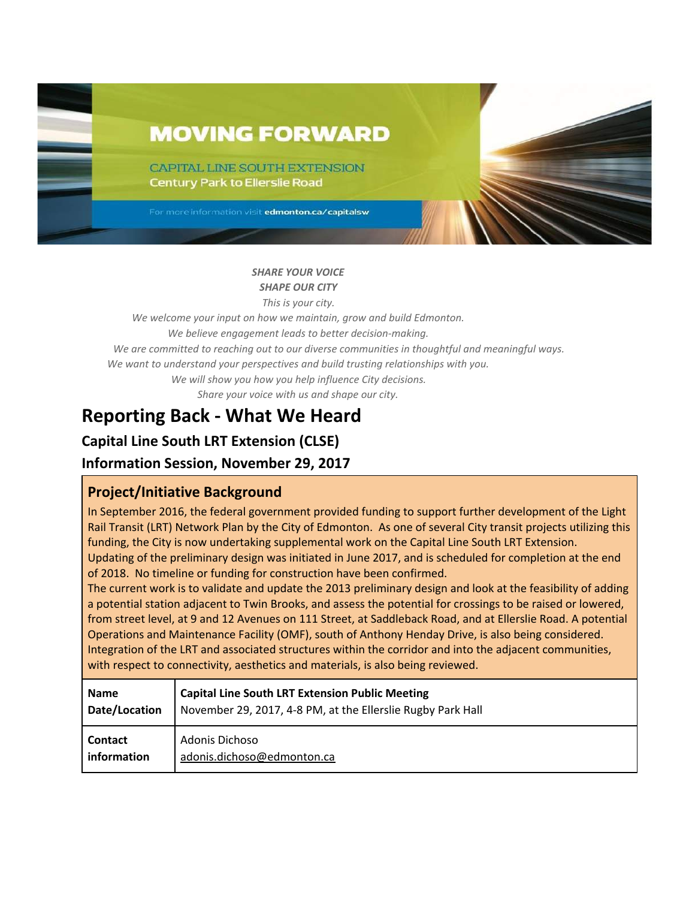# **MOVING FORWARD**

CAPITAL LINE SOUTH EXTENSION **Century Park to Ellerslie Road** 

For more information visit edmonton.ca/capitalsw

### *SHARE YOUR VOICE SHAPE OUR CITY*

*This is your city.*

*We welcome your input on how we maintain, grow and build Edmonton. We believe engagement leads to better decision-making. We are committed to reaching out to our diverse communities in thoughtful and meaningful ways. We want to understand your perspectives and build trusting relationships with you.*

*We will show you how you help influence City decisions.*

*Share your voice with us and shape our city.*

## **Reporting Back - What We Heard**

## **Capital Line South LRT Extension (CLSE)**

## **Information Session, November 29, 2017**

## **Project/Initiative Background**

In September 2016, the federal government provided funding to support further development of the Light Rail Transit (LRT) Network Plan by the City of Edmonton. As one of several City transit projects utilizing this funding, the City is now undertaking supplemental work on the Capital Line South LRT Extension. Updating of the preliminary design was initiated in June 2017, and is scheduled for completion at the end of 2018. No timeline or funding for construction have been confirmed.

The current work is to validate and update the 2013 preliminary design and look at the feasibility of adding a potential station adjacent to Twin Brooks, and assess the potential for crossings to be raised or lowered, from street level, at 9 and 12 Avenues on 111 Street, at Saddleback Road, and at Ellerslie Road. A potential Operations and Maintenance Facility (OMF), south of Anthony Henday Drive, is also being considered. Integration of the LRT and associated structures within the corridor and into the adjacent communities, with respect to connectivity, aesthetics and materials, is also being reviewed.

| <b>Name</b>    | <b>Capital Line South LRT Extension Public Meeting</b>      |
|----------------|-------------------------------------------------------------|
| Date/Location  | November 29, 2017, 4-8 PM, at the Ellerslie Rugby Park Hall |
| <b>Contact</b> | Adonis Dichoso                                              |
| information    | adonis.dichoso@edmonton.ca                                  |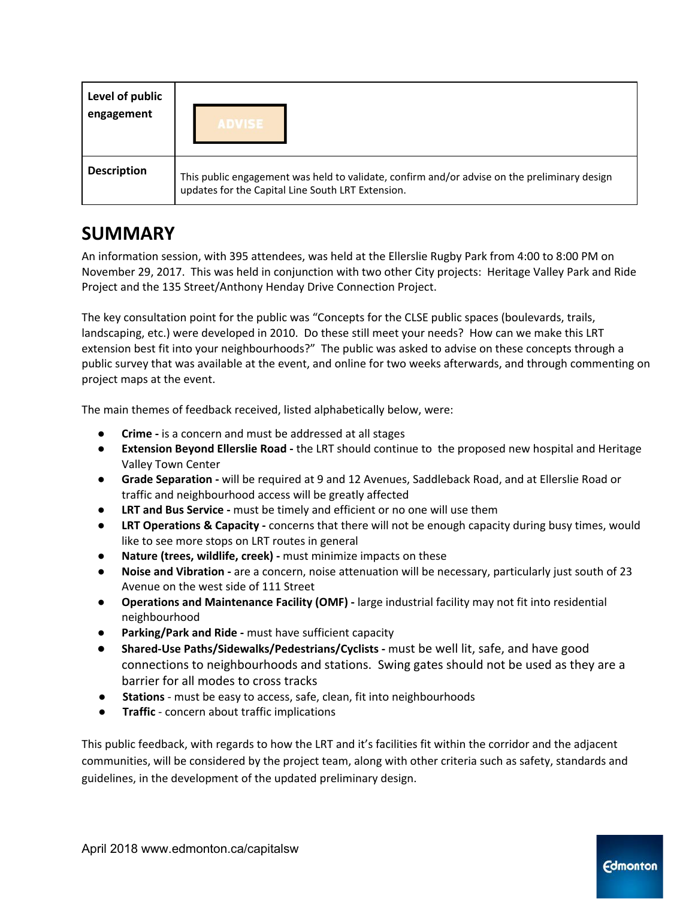| Level of public<br>engagement | <b>ADVISE</b>                                                                                                                                     |
|-------------------------------|---------------------------------------------------------------------------------------------------------------------------------------------------|
| <b>Description</b>            | This public engagement was held to validate, confirm and/or advise on the preliminary design<br>updates for the Capital Line South LRT Extension. |

## **SUMMARY**

An information session, with 395 attendees, was held at the Ellerslie Rugby Park from 4:00 to 8:00 PM on November 29, 2017. This was held in conjunction with two other City projects: Heritage Valley Park and Ride Project and the 135 Street/Anthony Henday Drive Connection Project.

The key consultation point for the public was "Concepts for the CLSE public spaces (boulevards, trails, landscaping, etc.) were developed in 2010. Do these still meet your needs? How can we make this LRT extension best fit into your neighbourhoods?" The public was asked to advise on these concepts through a public survey that was available at the event, and online for two weeks afterwards, and through commenting on project maps at the event.

The main themes of feedback received, listed alphabetically below, were:

- **● Crime -** is a concern and must be addressed at all stages
- **Extension Beyond Ellerslie Road -** the LRT should continue to the proposed new hospital and Heritage Valley Town Center
- **Grade Separation -** will be required at 9 and 12 Avenues, Saddleback Road, and at Ellerslie Road or traffic and neighbourhood access will be greatly affected
- **● LRT and Bus Service -** must be timely and efficient or no one will use them
- **LRT Operations & Capacity** concerns that there will not be enough capacity during busy times, would like to see more stops on LRT routes in general
- **Nature (trees, wildlife, creek) -** must minimize impacts on these
- **Noise and Vibration -** are a concern, noise attenuation will be necessary, particularly just south of 23 Avenue on the west side of 111 Street
- **● Operations and Maintenance Facility (OMF) -** large industrial facility may not fit into residential neighbourhood
- **Parking/Park and Ride -** must have sufficient capacity
- **Shared-Use Paths/Sidewalks/Pedestrians/Cyclists -** must be well lit, safe, and have good connections to neighbourhoods and stations. Swing gates should not be used as they are a barrier for all modes to cross tracks
- **Stations** must be easy to access, safe, clean, fit into neighbourhoods
- **● Traffic** concern about traffic implications

This public feedback, with regards to how the LRT and it's facilities fit within the corridor and the adjacent communities, will be considered by the project team, along with other criteria such as safety, standards and guidelines, in the development of the updated preliminary design.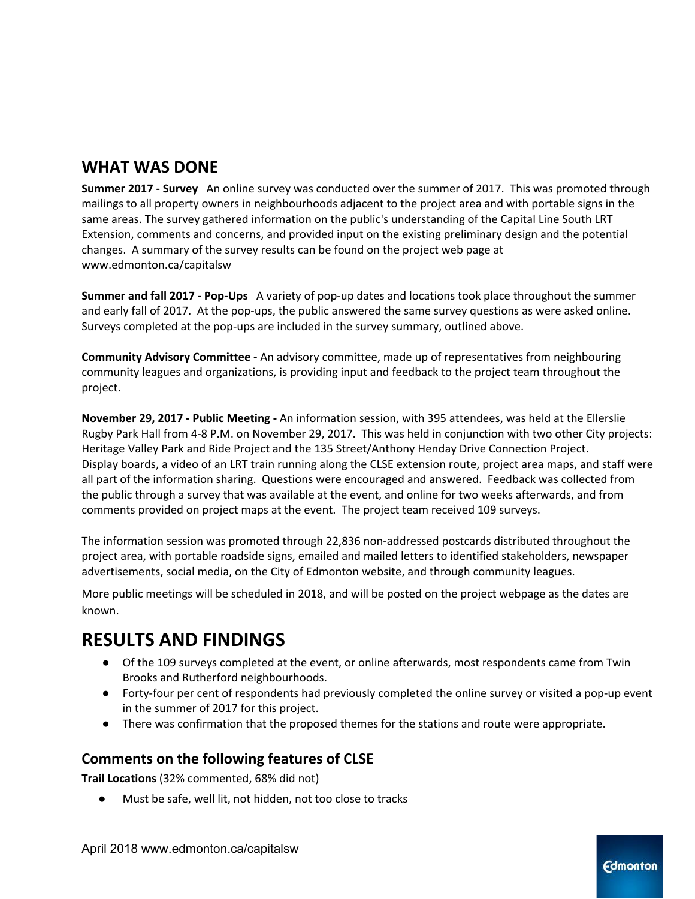## **WHAT WAS DONE**

**Summer 2017 - Survey** An online survey was conducted over the summer of 2017. This was promoted through mailings to all property owners in neighbourhoods adjacent to the project area and with portable signs in the same areas. The survey gathered information on the public's understanding of the Capital Line South LRT Extension, comments and concerns, and provided input on the existing preliminary design and the potential changes. A summary of the survey results can be found on the project web page at www.edmonton.ca/capitalsw

**Summer and fall 2017 - Pop-Ups** A variety of pop-up dates and locations took place throughout the summer and early fall of 2017. At the pop-ups, the public answered the same survey questions as were asked online. Surveys completed at the pop-ups are included in the survey summary, outlined above.

**Community Advisory Committee -** An advisory committee, made up of representatives from neighbouring community leagues and organizations, is providing input and feedback to the project team throughout the project.

**November 29, 2017 - Public Meeting -** An information session, with 395 attendees, was held at the Ellerslie Rugby Park Hall from 4-8 P.M. on November 29, 2017. This was held in conjunction with two other City projects: Heritage Valley Park and Ride Project and the 135 Street/Anthony Henday Drive Connection Project. Display boards, a video of an LRT train running along the CLSE extension route, project area maps, and staff were all part of the information sharing. Questions were encouraged and answered. Feedback was collected from the public through a survey that was available at the event, and online for two weeks afterwards, and from comments provided on project maps at the event. The project team received 109 surveys.

The information session was promoted through 22,836 non-addressed postcards distributed throughout the project area, with portable roadside signs, emailed and mailed letters to identified stakeholders, newspaper advertisements, social media, on the City of Edmonton website, and through community leagues.

More public meetings will be scheduled in 2018, and will be posted on the project webpage as the dates are known.

## **RESULTS AND FINDINGS**

- Of the 109 surveys completed at the event, or online afterwards, most respondents came from Twin Brooks and Rutherford neighbourhoods.
- Forty-four per cent of respondents had previously completed the online survey or visited a pop-up event in the summer of 2017 for this project.
- There was confirmation that the proposed themes for the stations and route were appropriate.

## **Comments on the following features of CLSE**

**Trail Locations** (32% commented, 68% did not)

Must be safe, well lit, not hidden, not too close to tracks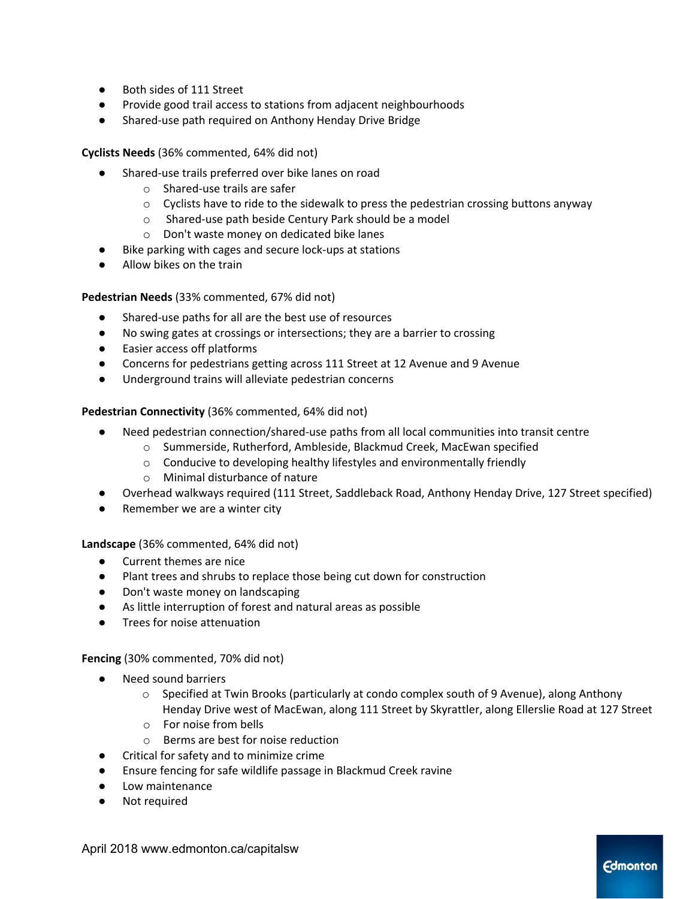- Both sides of 111 Street
- Provide good trail access to stations from adjacent neighbourhoods
- Shared-use path required on Anthony Henday Drive Bridge

**Cyclists Needs** (36% commented, 64% did not)

- Shared-use trails preferred over bike lanes on road
	- o Shared-use trails are safer
	- $\circ$  Cyclists have to ride to the sidewalk to press the pedestrian crossing buttons anyway
	- o Shared-use path beside Century Park should be a model
	- o Don't waste money on dedicated bike lanes
- Bike parking with cages and secure lock-ups at stations
- Allow bikes on the train

**Pedestrian Needs** (33% commented, 67% did not)

- Shared-use paths for all are the best use of resources
- No swing gates at crossings or intersections; they are a barrier to crossing
- Easier access off platforms
- Concerns for pedestrians getting across 111 Street at 12 Avenue and 9 Avenue
- Underground trains will alleviate pedestrian concerns

**Pedestrian Connectivity** (36% commented, 64% did not)

- Need pedestrian connection/shared-use paths from all local communities into transit centre
	- o Summerside, Rutherford, Ambleside, Blackmud Creek, MacEwan specified
	- o Conducive to developing healthy lifestyles and environmentally friendly
	- o Minimal disturbance of nature
- Overhead walkways required (111 Street, Saddleback Road, Anthony Henday Drive, 127 Street specified)
- Remember we are a winter city

**Landscape** (36% commented, 64% did not)

- Current themes are nice
- Plant trees and shrubs to replace those being cut down for construction
- Don't waste money on landscaping
- As little interruption of forest and natural areas as possible
- Trees for noise attenuation

**Fencing** (30% commented, 70% did not)

- Need sound barriers
	- o Specified at Twin Brooks (particularly at condo complex south of 9 Avenue), along Anthony Henday Drive west of MacEwan, along 111 Street by Skyrattler, along Ellerslie Road at 127 Street
	- o For noise from bells
	- o Berms are best for noise reduction
- Critical for safety and to minimize crime
- Ensure fencing for safe wildlife passage in Blackmud Creek ravine
- Low maintenance
- Not required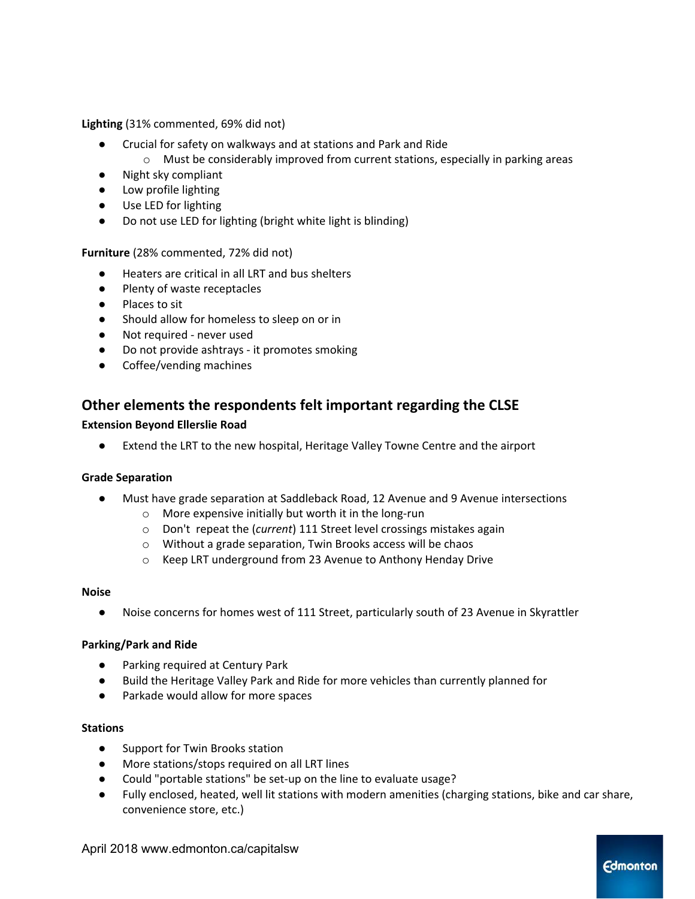**Lighting** (31% commented, 69% did not)

- Crucial for safety on walkways and at stations and Park and Ride
	- o Must be considerably improved from current stations, especially in parking areas
- Night sky compliant
- Low profile lighting
- Use LED for lighting
- Do not use LED for lighting (bright white light is blinding)

**Furniture** (28% commented, 72% did not)

- Heaters are critical in all LRT and bus shelters
- Plenty of waste receptacles
- Places to sit
- Should allow for homeless to sleep on or in
- Not required never used
- Do not provide ashtrays it promotes smoking
- Coffee/vending machines

### **Other elements the respondents felt important regarding the CLSE**

#### **Extension Beyond Ellerslie Road**

Extend the LRT to the new hospital, Heritage Valley Towne Centre and the airport

#### **Grade Separation**

- Must have grade separation at Saddleback Road, 12 Avenue and 9 Avenue intersections
	- o More expensive initially but worth it in the long-run
	- o Don't repeat the (*current*) 111 Street level crossings mistakes again
	- o Without a grade separation, Twin Brooks access will be chaos
	- o Keep LRT underground from 23 Avenue to Anthony Henday Drive

#### **Noise**

● Noise concerns for homes west of 111 Street, particularly south of 23 Avenue in Skyrattler

#### **Parking/Park and Ride**

- **Parking required at Century Park**
- Build the Heritage Valley Park and Ride for more vehicles than currently planned for
- Parkade would allow for more spaces

#### **Stations**

- Support for Twin Brooks station
- More stations/stops required on all LRT lines
- Could "portable stations" be set-up on the line to evaluate usage?
- Fully enclosed, heated, well lit stations with modern amenities (charging stations, bike and car share, convenience store, etc.)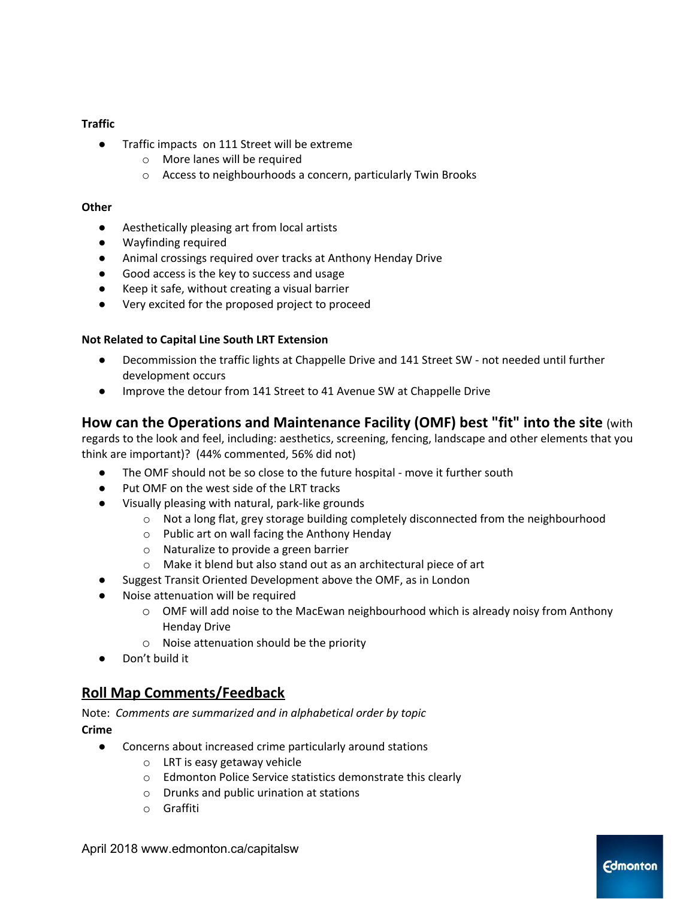#### **Traffic**

- Traffic impacts on 111 Street will be extreme
	- o More lanes will be required
	- o Access to neighbourhoods a concern, particularly Twin Brooks

#### **Other**

- Aesthetically pleasing art from local artists
- Wayfinding required
- Animal crossings required over tracks at Anthony Henday Drive
- Good access is the key to success and usage
- Keep it safe, without creating a visual barrier
- Very excited for the proposed project to proceed

#### **Not Related to Capital Line South LRT Extension**

- Decommission the traffic lights at Chappelle Drive and 141 Street SW not needed until further development occurs
- Improve the detour from 141 Street to 41 Avenue SW at Chappelle Drive

### **How can the Operations and Maintenance Facility (OMF) best "fit" into the site** (with

regards to the look and feel, including: aesthetics, screening, fencing, landscape and other elements that you think are important)? (44% commented, 56% did not)

- The OMF should not be so close to the future hospital move it further south
- Put OMF on the west side of the LRT tracks
- Visually pleasing with natural, park-like grounds
	- $\circ$  Not a long flat, grey storage building completely disconnected from the neighbourhood
	- o Public art on wall facing the Anthony Henday
	- o Naturalize to provide a green barrier
	- o Make it blend but also stand out as an architectural piece of art
- Suggest Transit Oriented Development above the OMF, as in London
- Noise attenuation will be required
	- o OMF will add noise to the MacEwan neighbourhood which is already noisy from Anthony Henday Drive
	- o Noise attenuation should be the priority
- Don't build it

### **Roll Map Comments/Feedback**

Note: *Comments are summarized and in alphabetical order by topic* **Crime**

- Concerns about increased crime particularly around stations
	- o LRT is easy getaway vehicle
	- o Edmonton Police Service statistics demonstrate this clearly
	- o Drunks and public urination at stations
	- o Graffiti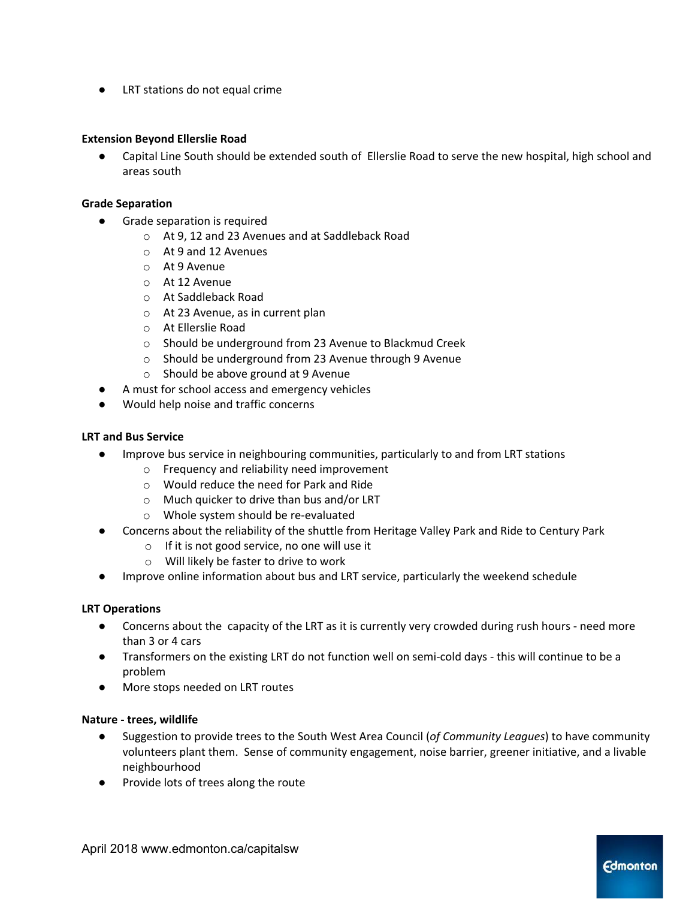LRT stations do not equal crime

#### **Extension Beyond Ellerslie Road**

Capital Line South should be extended south of Ellerslie Road to serve the new hospital, high school and areas south

#### **Grade Separation**

- Grade separation is required
	- o At 9, 12 and 23 Avenues and at Saddleback Road
	- o At 9 and 12 Avenues
	- o At 9 Avenue
	- o At 12 Avenue
	- o At Saddleback Road
	- o At 23 Avenue, as in current plan
	- o At Ellerslie Road
	- o Should be underground from 23 Avenue to Blackmud Creek
	- o Should be underground from 23 Avenue through 9 Avenue
	- o Should be above ground at 9 Avenue
	- A must for school access and emergency vehicles
- Would help noise and traffic concerns

#### **LRT and Bus Service**

- Improve bus service in neighbouring communities, particularly to and from LRT stations
	- o Frequency and reliability need improvement
	- o Would reduce the need for Park and Ride
	- o Much quicker to drive than bus and/or LRT
	- o Whole system should be re-evaluated
- Concerns about the reliability of the shuttle from Heritage Valley Park and Ride to Century Park
	- o If it is not good service, no one will use it
	- o Will likely be faster to drive to work
- *●* Improve online information about bus and LRT service, particularly the weekend schedule

#### **LRT Operations**

- Concerns about the capacity of the LRT as it is currently very crowded during rush hours need more than 3 or 4 cars
- Transformers on the existing LRT do not function well on semi-cold days this will continue to be a problem
- More stops needed on LRT routes

#### **Nature - trees, wildlife**

- Suggestion to provide trees to the South West Area Council (*of Community Leagues*) to have community volunteers plant them. Sense of community engagement, noise barrier, greener initiative, and a livable neighbourhood
- Provide lots of trees along the route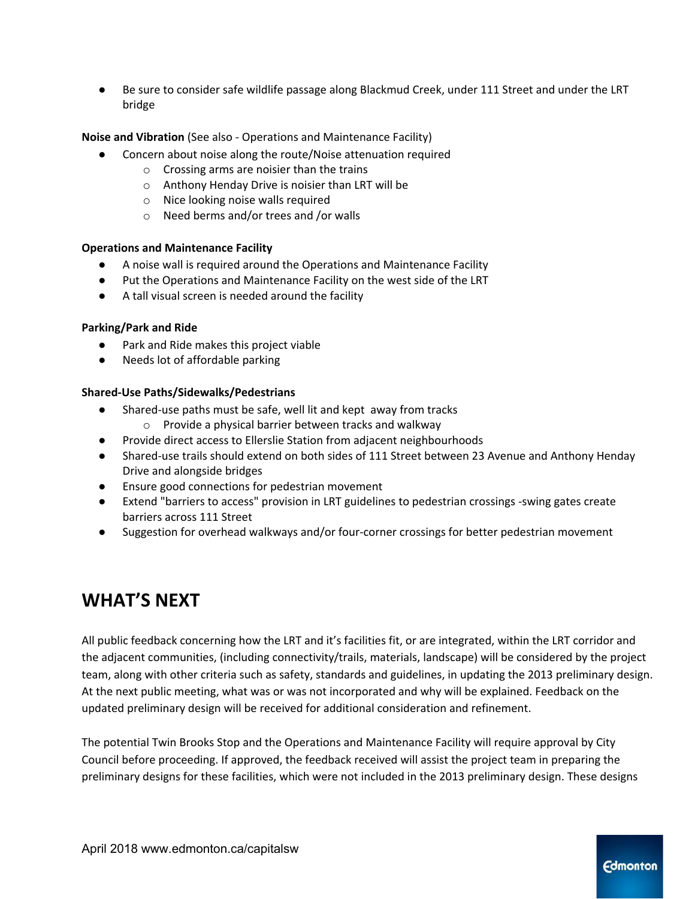Be sure to consider safe wildlife passage along Blackmud Creek, under 111 Street and under the LRT bridge

**Noise and Vibration** (See also - Operations and Maintenance Facility)

- Concern about noise along the route/Noise attenuation required
	- o Crossing arms are noisier than the trains
	- o Anthony Henday Drive is noisier than LRT will be
	- o Nice looking noise walls required
	- o Need berms and/or trees and /or walls

#### **Operations and Maintenance Facility**

- A noise wall is required around the Operations and Maintenance Facility
- Put the Operations and Maintenance Facility on the west side of the LRT
- A tall visual screen is needed around the facility

#### **Parking/Park and Ride**

- Park and Ride makes this project viable
- Needs lot of affordable parking

#### **Shared-Use Paths/Sidewalks/Pedestrians**

- Shared-use paths must be safe, well lit and kept away from tracks
	- o Provide a physical barrier between tracks and walkway
- Provide direct access to Ellerslie Station from adjacent neighbourhoods
- Shared-use trails should extend on both sides of 111 Street between 23 Avenue and Anthony Henday Drive and alongside bridges
- Ensure good connections for pedestrian movement
- Extend "barriers to access" provision in LRT guidelines to pedestrian crossings -swing gates create barriers across 111 Street
- Suggestion for overhead walkways and/or four-corner crossings for better pedestrian movement

## **WHAT'S NEXT**

All public feedback concerning how the LRT and it's facilities fit, or are integrated, within the LRT corridor and the adjacent communities, (including connectivity/trails, materials, landscape) will be considered by the project team, along with other criteria such as safety, standards and guidelines, in updating the 2013 preliminary design. At the next public meeting, what was or was not incorporated and why will be explained. Feedback on the updated preliminary design will be received for additional consideration and refinement.

The potential Twin Brooks Stop and the Operations and Maintenance Facility will require approval by City Council before proceeding. If approved, the feedback received will assist the project team in preparing the preliminary designs for these facilities, which were not included in the 2013 preliminary design. These designs